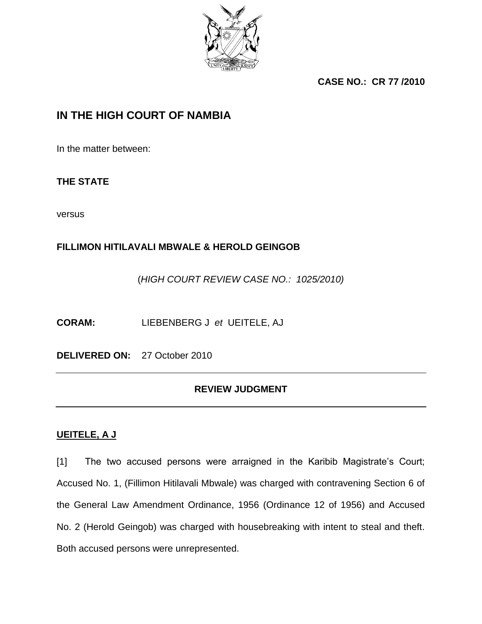

**CASE NO.: CR 77 /2010** 

## **IN THE HIGH COURT OF NAMBIA**

In the matter between:

### **THE STATE**

versus

## **FILLIMON HITILAVALI MBWALE & HEROLD GEINGOB**

(*HIGH COURT REVIEW CASE NO.: 1025/2010)*

**CORAM:** LIEBENBERG J *et* UEITELE, AJ

**DELIVERED ON:** 27 October 2010

## **REVIEW JUDGMENT**

### **UEITELE, A J**

[1] The two accused persons were arraigned in the Karibib Magistrate's Court; Accused No. 1, (Fillimon Hitilavali Mbwale) was charged with contravening Section 6 of the General Law Amendment Ordinance, 1956 (Ordinance 12 of 1956) and Accused No. 2 (Herold Geingob) was charged with housebreaking with intent to steal and theft. Both accused persons were unrepresented.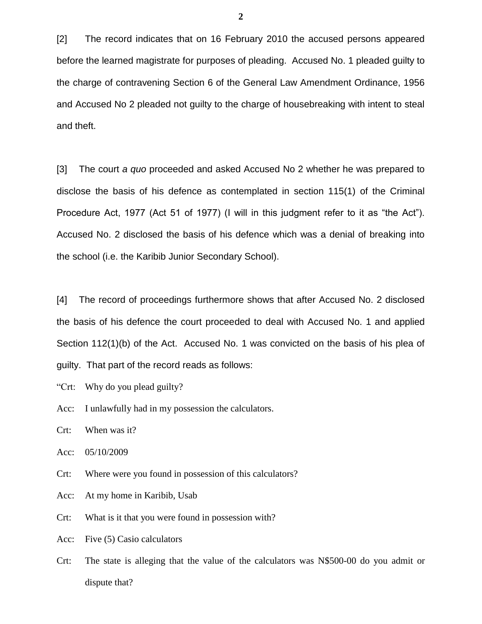[2] The record indicates that on 16 February 2010 the accused persons appeared before the learned magistrate for purposes of pleading. Accused No. 1 pleaded guilty to the charge of contravening Section 6 of the General Law Amendment Ordinance, 1956 and Accused No 2 pleaded not guilty to the charge of housebreaking with intent to steal and theft.

[3] The court *a quo* proceeded and asked Accused No 2 whether he was prepared to disclose the basis of his defence as contemplated in section 115(1) of the Criminal Procedure Act, 1977 (Act 51 of 1977) (I will in this judgment refer to it as "the Act"). Accused No. 2 disclosed the basis of his defence which was a denial of breaking into the school (i.e. the Karibib Junior Secondary School).

[4] The record of proceedings furthermore shows that after Accused No. 2 disclosed the basis of his defence the court proceeded to deal with Accused No. 1 and applied Section 112(1)(b) of the Act. Accused No. 1 was convicted on the basis of his plea of guilty. That part of the record reads as follows:

"Crt: Why do you plead guilty?

Acc: I unlawfully had in my possession the calculators.

Crt: When was it?

Acc: 05/10/2009

Crt: Where were you found in possession of this calculators?

Acc: At my home in Karibib, Usab

Crt: What is it that you were found in possession with?

Acc: Five (5) Casio calculators

Crt: The state is alleging that the value of the calculators was N\$500-00 do you admit or dispute that?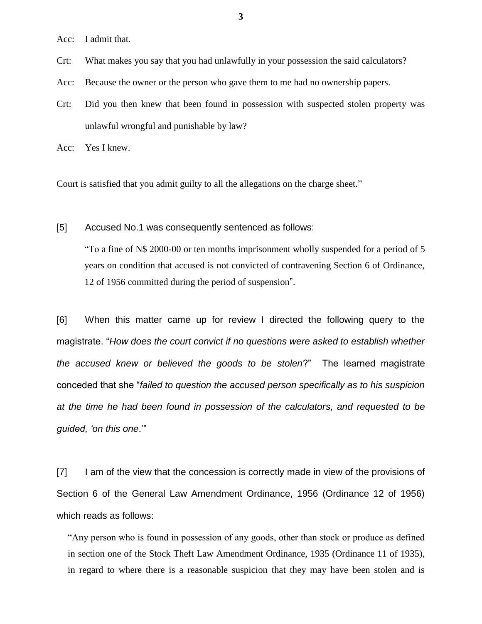Acc: I admit that.

Crt: What makes you say that you had unlawfully in your possession the said calculators?

Acc: Because the owner or the person who gave them to me had no ownership papers.

Crt: Did you then knew that been found in possession with suspected stolen property was unlawful wrongful and punishable by law?

Acc: Yes I knew.

Court is satisfied that you admit guilty to all the allegations on the charge sheet."

[5] Accused No.1 was consequently sentenced as follows:

"To a fine of N\$ 2000-00 or ten months imprisonment wholly suspended for a period of 5 years on condition that accused is not convicted of contravening Section 6 of Ordinance, 12 of 1956 committed during the period of suspension".

[6] When this matter came up for review I directed the following query to the magistrate. "*How does the court convict if no questions were asked to establish whether the accused knew or believed the goods to be stolen*?" The learned magistrate conceded that she "*failed to question the accused person specifically as to his suspicion at the time he had been found in possession of the calculators, and requested to be guided, 'on this one*.""

[7] I am of the view that the concession is correctly made in view of the provisions of Section 6 of the General Law Amendment Ordinance, 1956 (Ordinance 12 of 1956) which reads as follows:

"Any person who is found in possession of any goods, other than stock or produce as defined in section one of the Stock Theft Law Amendment Ordinance, 1935 (Ordinance 11 of 1935), in regard to where there is a reasonable suspicion that they may have been stolen and is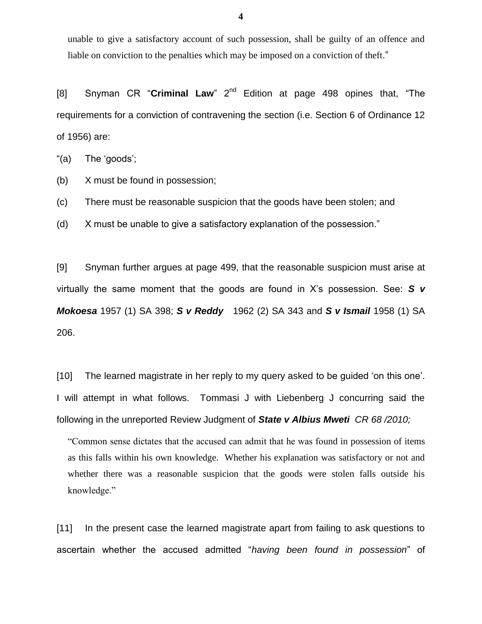unable to give a satisfactory account of such possession, shall be guilty of an offence and liable on conviction to the penalties which may be imposed on a conviction of theft."

[8] Snyman CR "**Criminal Law**" 2<sup>nd</sup> Edition at page 498 opines that, "The requirements for a conviction of contravening the section (i.e. Section 6 of Ordinance 12 of 1956) are:

"(a) The "goods";

(b) X must be found in possession;

(c) There must be reasonable suspicion that the goods have been stolen; and

(d) X must be unable to give a satisfactory explanation of the possession."

[9] Snyman further argues at page 499, that the reasonable suspicion must arise at virtually the same moment that the goods are found in X"s possession. See: *S v Mokoesa* 1957 (1) SA 398; *S v Reddy* 1962 (2) SA 343 and *S v Ismail* 1958 (1) SA 206.

[10] The learned magistrate in her reply to my query asked to be guided 'on this one'. I will attempt in what follows. Tommasi J with Liebenberg J concurring said the following in the unreported Review Judgment of *State v Albius Mweti CR 68 /2010;* 

"Common sense dictates that the accused can admit that he was found in possession of items as this falls within his own knowledge. Whether his explanation was satisfactory or not and whether there was a reasonable suspicion that the goods were stolen falls outside his knowledge."

[11] In the present case the learned magistrate apart from failing to ask questions to ascertain whether the accused admitted "*having been found in possession*" of

**4**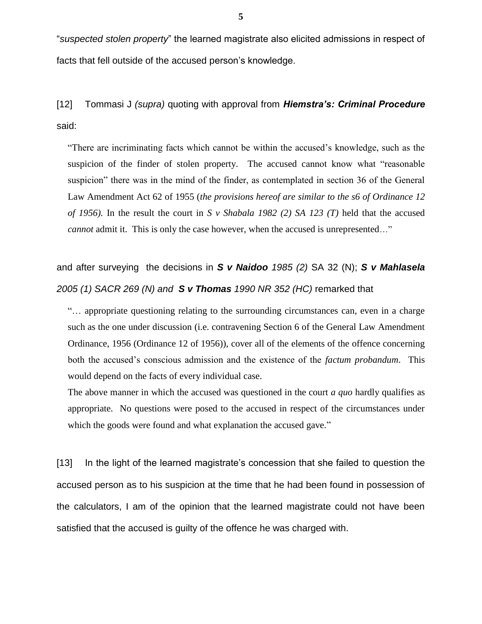"*suspected stolen property*" the learned magistrate also elicited admissions in respect of facts that fell outside of the accused person's knowledge.

[12] Tommasi J *(supra)* quoting with approval from *Hiemstra's: Criminal Procedure* said:

"There are incriminating facts which cannot be within the accused's knowledge, such as the suspicion of the finder of stolen property. The accused cannot know what "reasonable suspicion" there was in the mind of the finder, as contemplated in section 36 of the General Law Amendment Act 62 of 1955 (*the provisions hereof are similar to the s6 of Ordinance 12 of 1956).* In the result the court in *S v Shabala 1982 (2) SA 123 (T)* held that the accused *cannot* admit it. This is only the case however, when the accused is unrepresented..."

# and after surveying the decisions in *S v Naidoo 1985 (2)* SA 32 (N); *S v Mahlasela 2005 (1) SACR 269 (N) and S v Thomas 1990 NR 352 (HC)* remarked that

"… appropriate questioning relating to the surrounding circumstances can, even in a charge such as the one under discussion (i.e. contravening Section 6 of the General Law Amendment Ordinance, 1956 (Ordinance 12 of 1956)), cover all of the elements of the offence concerning both the accused's conscious admission and the existence of the *factum probandum*. This would depend on the facts of every individual case.

The above manner in which the accused was questioned in the court *a quo* hardly qualifies as appropriate. No questions were posed to the accused in respect of the circumstances under which the goods were found and what explanation the accused gave."

[13] In the light of the learned magistrate's concession that she failed to question the accused person as to his suspicion at the time that he had been found in possession of the calculators, I am of the opinion that the learned magistrate could not have been satisfied that the accused is guilty of the offence he was charged with.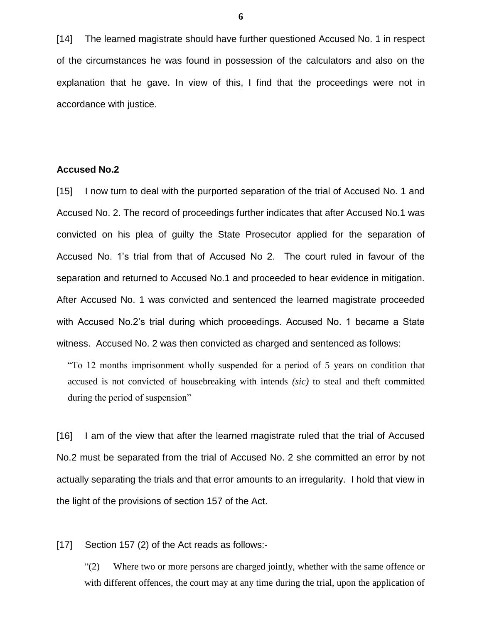[14] The learned magistrate should have further questioned Accused No. 1 in respect of the circumstances he was found in possession of the calculators and also on the explanation that he gave. In view of this, I find that the proceedings were not in accordance with justice.

#### **Accused No.2**

[15] I now turn to deal with the purported separation of the trial of Accused No. 1 and Accused No. 2. The record of proceedings further indicates that after Accused No.1 was convicted on his plea of guilty the State Prosecutor applied for the separation of Accused No. 1"s trial from that of Accused No 2. The court ruled in favour of the separation and returned to Accused No.1 and proceeded to hear evidence in mitigation. After Accused No. 1 was convicted and sentenced the learned magistrate proceeded with Accused No.2's trial during which proceedings. Accused No. 1 became a State witness. Accused No. 2 was then convicted as charged and sentenced as follows:

"To 12 months imprisonment wholly suspended for a period of 5 years on condition that accused is not convicted of housebreaking with intends *(sic)* to steal and theft committed during the period of suspension"

[16] I am of the view that after the learned magistrate ruled that the trial of Accused No.2 must be separated from the trial of Accused No. 2 she committed an error by not actually separating the trials and that error amounts to an irregularity. I hold that view in the light of the provisions of section 157 of the Act.

[17] Section 157 (2) of the Act reads as follows:-

"(2) Where two or more persons are charged jointly, whether with the same offence or with different offences, the court may at any time during the trial, upon the application of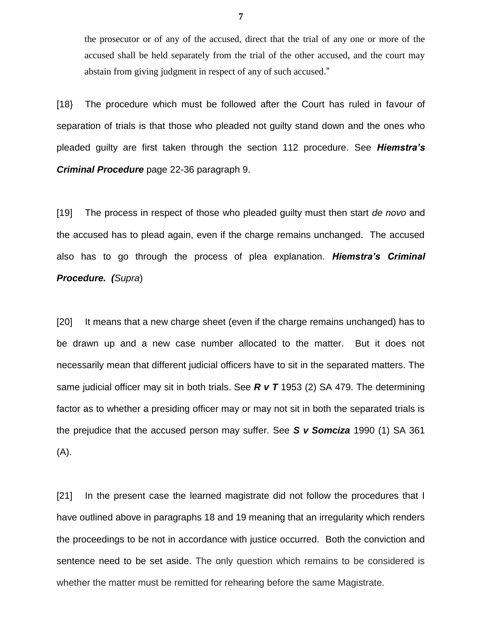the prosecutor or of any of the accused, direct that the trial of any one or more of the accused shall be held separately from the trial of the other accused, and the court may abstain from giving judgment in respect of any of such accused."

[18} The procedure which must be followed after the Court has ruled in favour of separation of trials is that those who pleaded not guilty stand down and the ones who pleaded guilty are first taken through the section 112 procedure. See *Hiemstra's Criminal Procedure* page 22-36 paragraph 9.

[19] The process in respect of those who pleaded guilty must then start *de novo* and the accused has to plead again, even if the charge remains unchanged. The accused also has to go through the process of plea explanation. *Hiemstra's Criminal Procedure. (Supra*)

[20] It means that a new charge sheet (even if the charge remains unchanged) has to be drawn up and a new case number allocated to the matter. But it does not necessarily mean that different judicial officers have to sit in the separated matters. The same judicial officer may sit in both trials. See *R v T* 1953 (2) SA 479. The determining factor as to whether a presiding officer may or may not sit in both the separated trials is the prejudice that the accused person may suffer. See *S v Somciza* 1990 (1) SA 361 (A).

[21] In the present case the learned magistrate did not follow the procedures that I have outlined above in paragraphs 18 and 19 meaning that an irregularity which renders the proceedings to be not in accordance with justice occurred. Both the conviction and sentence need to be set aside. The only question which remains to be considered is whether the matter must be remitted for rehearing before the same Magistrate.

**7**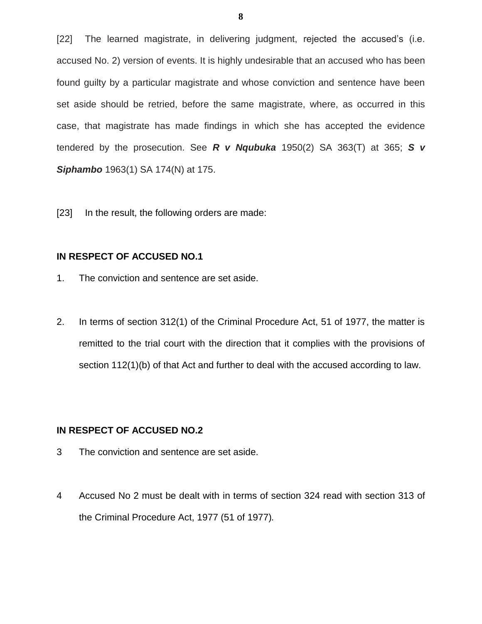[22] The learned magistrate, in delivering judgment, rejected the accused's (i.e. accused No. 2) version of events. It is highly undesirable that an accused who has been found guilty by a particular magistrate and whose conviction and sentence have been set aside should be retried, before the same magistrate, where, as occurred in this case, that magistrate has made findings in which she has accepted the evidence tendered by the prosecution. See *R v Nqubuka* 1950(2) SA 363(T) at 365; *S v Siphambo* 1963(1) SA 174(N) at 175.

[23] In the result, the following orders are made:

#### **IN RESPECT OF ACCUSED NO.1**

- 1. The conviction and sentence are set aside.
- 2. In terms of section 312(1) of the Criminal Procedure Act, 51 of 1977, the matter is remitted to the trial court with the direction that it complies with the provisions of section 112(1)(b) of that Act and further to deal with the accused according to law.

#### **IN RESPECT OF ACCUSED NO.2**

- 3 The conviction and sentence are set aside.
- 4 Accused No 2 must be dealt with in terms of section 324 read with section 313 of the Criminal Procedure Act, 1977 (51 of 1977)*.*